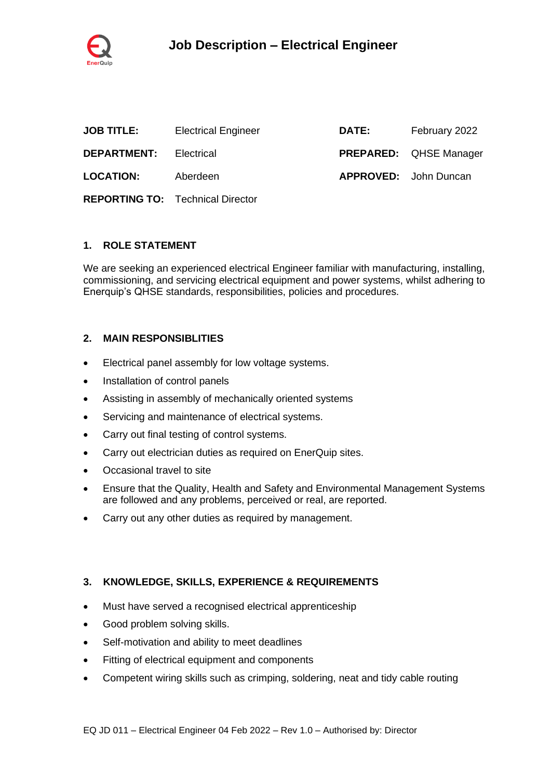

| <b>JOB TITLE:</b>             | <b>Electrical Engineer</b>              | <b>DATE:</b>                 | February 2022                 |
|-------------------------------|-----------------------------------------|------------------------------|-------------------------------|
| <b>DEPARTMENT:</b> Electrical |                                         |                              | <b>PREPARED:</b> QHSE Manager |
| <b>LOCATION:</b>              | Aberdeen                                | <b>APPROVED:</b> John Duncan |                               |
|                               | <b>REPORTING TO:</b> Technical Director |                              |                               |

#### **1. ROLE STATEMENT**

We are seeking an experienced electrical Engineer familiar with manufacturing, installing, commissioning, and servicing electrical equipment and power systems, whilst adhering to Enerquip's QHSE standards, responsibilities, policies and procedures.

## **2. MAIN RESPONSIBLITIES**

- Electrical panel assembly for low voltage systems.
- Installation of control panels
- Assisting in assembly of mechanically oriented systems
- Servicing and maintenance of electrical systems.
- Carry out final testing of control systems.
- Carry out electrician duties as required on EnerQuip sites.
- Occasional travel to site
- Ensure that the Quality, Health and Safety and Environmental Management Systems are followed and any problems, perceived or real, are reported.
- Carry out any other duties as required by management.

# **3. KNOWLEDGE, SKILLS, EXPERIENCE & REQUIREMENTS**

- Must have served a recognised electrical apprenticeship
- Good problem solving skills.
- Self-motivation and ability to meet deadlines
- Fitting of electrical equipment and components
- Competent wiring skills such as crimping, soldering, neat and tidy cable routing